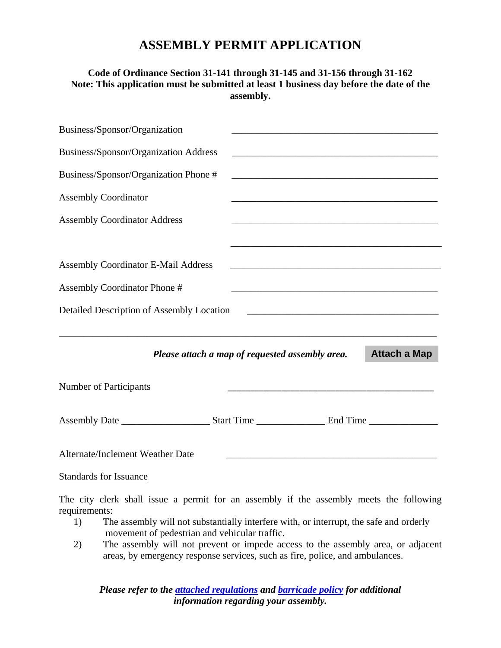## **ASSEMBLY PERMIT APPLICATION**

## **Code of Ordinance Section 31-141 through 31-145 and 31-156 through 31-162 Note: This application must be submitted at least 1 business day before the date of the assembly.**

| Business/Sponsor/Organization              |                                                                                                                       |                     |
|--------------------------------------------|-----------------------------------------------------------------------------------------------------------------------|---------------------|
| Business/Sponsor/Organization Address      | <u> 1989 - Johann Harry Harry Harry Harry Harry Harry Harry Harry Harry Harry Harry Harry Harry Harry Harry Harry</u> |                     |
| Business/Sponsor/Organization Phone #      |                                                                                                                       |                     |
| <b>Assembly Coordinator</b>                | and the control of the control of the control of the control of the control of the control of the control of the      |                     |
| <b>Assembly Coordinator Address</b>        | <u> 2000 - Andrea Andrews, Amerikaansk politik (d. 1982)</u>                                                          |                     |
|                                            |                                                                                                                       |                     |
| <b>Assembly Coordinator E-Mail Address</b> |                                                                                                                       |                     |
| <b>Assembly Coordinator Phone #</b>        |                                                                                                                       |                     |
| Detailed Description of Assembly Location  |                                                                                                                       |                     |
|                                            |                                                                                                                       |                     |
|                                            | Please attach a map of requested assembly area.                                                                       | <b>Attach a Map</b> |
| Number of Participants                     | <u> 1980 - Johann John Stone, mars et al. (1980)</u>                                                                  |                     |
|                                            |                                                                                                                       |                     |
| Alternate/Inclement Weather Date           |                                                                                                                       |                     |

## Standards for Issuance

The city clerk shall issue a permit for an assembly if the assembly meets the following requirements:

- 1) The assembly will not substantially interfere with, or interrupt, the safe and orderly movement of pedestrian and vehicular traffic.
- 2) The assembly will not prevent or impede access to the assembly area, or adjacent areas, by emergency response services, such as fire, police, and ambulances.

*Please refer to the [attached regulations](http://www.cityofmhk.com/DocumentCenter/Home/View/11657) and [barricade policy](http://www.cityofmhk.com/DocumentCenter/Home/View/11655) for additional information regarding your assembly.*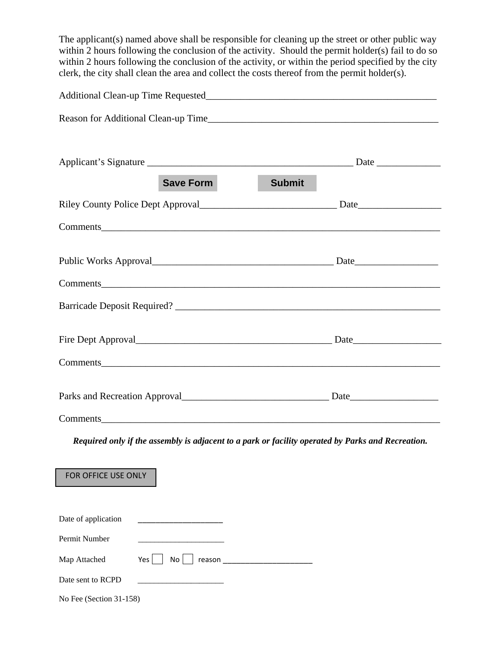The applicant(s) named above shall be responsible for cleaning up the street or other public way within 2 hours following the conclusion of the activity. Should the permit holder(s) fail to do so within 2 hours following the conclusion of the activity, or within the period specified by the city clerk, the city shall clean the area and collect the costs thereof from the permit holder(s).

| <b>Save Form</b><br><b>Submit</b>                                                                  |  |  |
|----------------------------------------------------------------------------------------------------|--|--|
|                                                                                                    |  |  |
|                                                                                                    |  |  |
|                                                                                                    |  |  |
|                                                                                                    |  |  |
|                                                                                                    |  |  |
|                                                                                                    |  |  |
|                                                                                                    |  |  |
|                                                                                                    |  |  |
|                                                                                                    |  |  |
| Required only if the assembly is adjacent to a park or facility operated by Parks and Recreation.  |  |  |
| FOR OFFICE USE ONLY                                                                                |  |  |
| Date of application<br>Permit Number<br>Map Attached<br>No<br>Yes  <br>reason<br>Date sent to RCPD |  |  |
|                                                                                                    |  |  |

No Fee (Section 31-158)